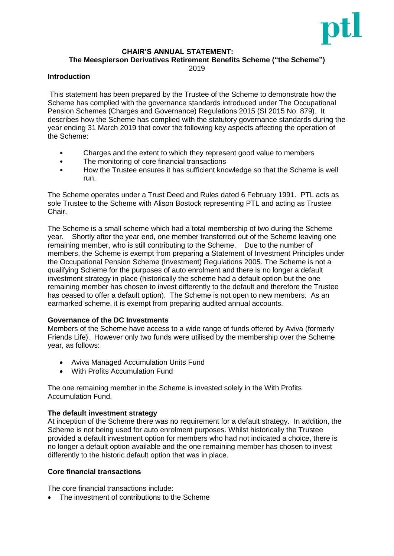

# **CHAIR'S ANNUAL STATEMENT:**

**The Meespierson Derivatives Retirement Benefits Scheme ("the Scheme")**

2019

### **Introduction**

This statement has been prepared by the Trustee of the Scheme to demonstrate how the Scheme has complied with the governance standards introduced under The Occupational Pension Schemes (Charges and Governance) Regulations 2015 (SI 2015 No. 879). It describes how the Scheme has complied with the statutory governance standards during the year ending 31 March 2019 that cover the following key aspects affecting the operation of the Scheme:

- Charges and the extent to which they represent good value to members
- The monitoring of core financial transactions
- How the Trustee ensures it has sufficient knowledge so that the Scheme is well run.

The Scheme operates under a Trust Deed and Rules dated 6 February 1991. PTL acts as sole Trustee to the Scheme with Alison Bostock representing PTL and acting as Trustee Chair.

The Scheme is a small scheme which had a total membership of two during the Scheme year. Shortly after the year end, one member transferred out of the Scheme leaving one remaining member, who is still contributing to the Scheme. Due to the number of members, the Scheme is exempt from preparing a Statement of Investment Principles under the Occupational Pension Scheme (Investment) Regulations 2005. The Scheme is not a qualifying Scheme for the purposes of auto enrolment and there is no longer a default investment strategy in place (historically the scheme had a default option but the one remaining member has chosen to invest differently to the default and therefore the Trustee has ceased to offer a default option). The Scheme is not open to new members. As an earmarked scheme, it is exempt from preparing audited annual accounts.

### **Governance of the DC Investments**

Members of the Scheme have access to a wide range of funds offered by Aviva (formerly Friends Life). However only two funds were utilised by the membership over the Scheme year, as follows:

- Aviva Managed Accumulation Units Fund
- With Profits Accumulation Fund

The one remaining member in the Scheme is invested solely in the With Profits Accumulation Fund.

### **The default investment strategy**

At inception of the Scheme there was no requirement for a default strategy. In addition, the Scheme is not being used for auto enrolment purposes. Whilst historically the Trustee provided a default investment option for members who had not indicated a choice, there is no longer a default option available and the one remaining member has chosen to invest differently to the historic default option that was in place.

### **Core financial transactions**

The core financial transactions include:

• The investment of contributions to the Scheme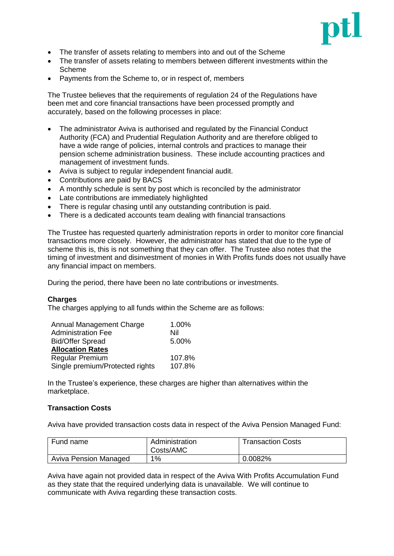

- The transfer of assets relating to members into and out of the Scheme
- The transfer of assets relating to members between different investments within the Scheme
- Payments from the Scheme to, or in respect of, members

The Trustee believes that the requirements of regulation 24 of the Regulations have been met and core financial transactions have been processed promptly and accurately, based on the following processes in place:

- The administrator Aviva is authorised and regulated by the Financial Conduct Authority (FCA) and Prudential Regulation Authority and are therefore obliged to have a wide range of policies, internal controls and practices to manage their pension scheme administration business. These include accounting practices and management of investment funds.
- Aviva is subject to regular independent financial audit.
- Contributions are paid by BACS
- A monthly schedule is sent by post which is reconciled by the administrator
- Late contributions are immediately highlighted
- There is regular chasing until any outstanding contribution is paid.
- There is a dedicated accounts team dealing with financial transactions

The Trustee has requested quarterly administration reports in order to monitor core financial transactions more closely. However, the administrator has stated that due to the type of scheme this is, this is not something that they can offer. The Trustee also notes that the timing of investment and disinvestment of monies in With Profits funds does not usually have any financial impact on members.

During the period, there have been no late contributions or investments.

### **Charges**

The charges applying to all funds within the Scheme are as follows:

| Annual Management Charge        | 1.00%  |
|---------------------------------|--------|
| <b>Administration Fee</b>       | Nil    |
| <b>Bid/Offer Spread</b>         | 5.00%  |
| <b>Allocation Rates</b>         |        |
| <b>Regular Premium</b>          | 107.8% |
| Single premium/Protected rights | 107.8% |

In the Trustee's experience, these charges are higher than alternatives within the marketplace.

### **Transaction Costs**

Aviva have provided transaction costs data in respect of the Aviva Pension Managed Fund:

| Fund name             | Administration<br>Costs/AMC | Transaction Costs |
|-----------------------|-----------------------------|-------------------|
| Aviva Pension Managed | $1\%$                       | 0.0082%           |

Aviva have again not provided data in respect of the Aviva With Profits Accumulation Fund as they state that the required underlying data is unavailable. We will continue to communicate with Aviva regarding these transaction costs.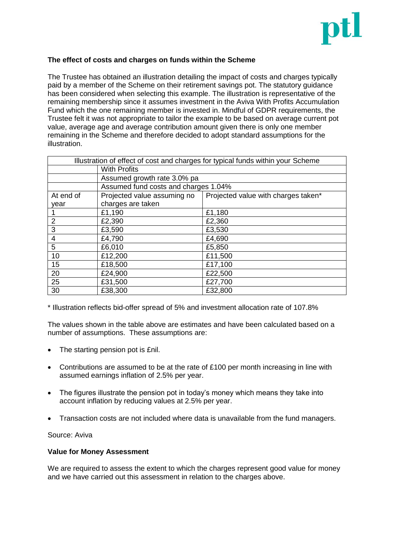

# **The effect of costs and charges on funds within the Scheme**

The Trustee has obtained an illustration detailing the impact of costs and charges typically paid by a member of the Scheme on their retirement savings pot. The statutory guidance has been considered when selecting this example. The illustration is representative of the remaining membership since it assumes investment in the Aviva With Profits Accumulation Fund which the one remaining member is invested in. Mindful of GDPR requirements, the Trustee felt it was not appropriate to tailor the example to be based on average current pot value, average age and average contribution amount given there is only one member remaining in the Scheme and therefore decided to adopt standard assumptions for the illustration.

| Illustration of effect of cost and charges for typical funds within your Scheme |                                      |                                     |  |
|---------------------------------------------------------------------------------|--------------------------------------|-------------------------------------|--|
| <b>With Profits</b>                                                             |                                      |                                     |  |
|                                                                                 | Assumed growth rate 3.0% pa          |                                     |  |
|                                                                                 | Assumed fund costs and charges 1.04% |                                     |  |
| At end of                                                                       | Projected value assuming no          | Projected value with charges taken* |  |
| year                                                                            | charges are taken                    |                                     |  |
|                                                                                 | £1,190                               | £1,180                              |  |
| $\overline{2}$                                                                  | £2,390                               | £2,360                              |  |
| 3                                                                               | £3,590                               | £3,530                              |  |
| 4                                                                               | £4,790                               | £4,690                              |  |
| 5                                                                               | £6,010                               | £5,850                              |  |
| 10                                                                              | £12,200                              | £11,500                             |  |
| 15                                                                              | £18,500                              | £17,100                             |  |
| 20                                                                              | £24,900                              | £22,500                             |  |
| 25                                                                              | £31,500                              | £27,700                             |  |
| 30                                                                              | £38,300                              | £32,800                             |  |

\* Illustration reflects bid-offer spread of 5% and investment allocation rate of 107.8%

The values shown in the table above are estimates and have been calculated based on a number of assumptions. These assumptions are:

- The starting pension pot is £nil.
- Contributions are assumed to be at the rate of £100 per month increasing in line with assumed earnings inflation of 2.5% per year.
- The figures illustrate the pension pot in today's money which means they take into account inflation by reducing values at 2.5% per year.
- Transaction costs are not included where data is unavailable from the fund managers.

Source: Aviva

### **Value for Money Assessment**

We are required to assess the extent to which the charges represent good value for money and we have carried out this assessment in relation to the charges above.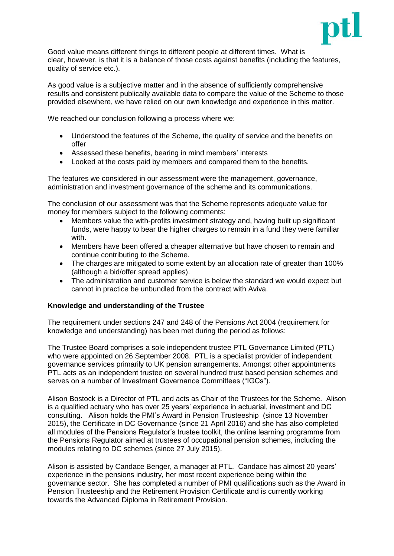

Good value means different things to different people at different times. What is clear, however, is that it is a balance of those costs against benefits (including the features, quality of service etc.).

As good value is a subjective matter and in the absence of sufficiently comprehensive results and consistent publically available data to compare the value of the Scheme to those provided elsewhere, we have relied on our own knowledge and experience in this matter.

We reached our conclusion following a process where we:

- Understood the features of the Scheme, the quality of service and the benefits on offer
- Assessed these benefits, bearing in mind members' interests
- Looked at the costs paid by members and compared them to the benefits.

The features we considered in our assessment were the management, governance, administration and investment governance of the scheme and its communications.

The conclusion of our assessment was that the Scheme represents adequate value for money for members subject to the following comments:

- Members value the with-profits investment strategy and, having built up significant funds, were happy to bear the higher charges to remain in a fund they were familiar with.
- Members have been offered a cheaper alternative but have chosen to remain and continue contributing to the Scheme.
- The charges are mitigated to some extent by an allocation rate of greater than 100% (although a bid/offer spread applies).
- The administration and customer service is below the standard we would expect but cannot in practice be unbundled from the contract with Aviva.

### **Knowledge and understanding of the Trustee**

The requirement under sections 247 and 248 of the Pensions Act 2004 (requirement for knowledge and understanding) has been met during the period as follows:

The Trustee Board comprises a sole independent trustee PTL Governance Limited (PTL) who were appointed on 26 September 2008. PTL is a specialist provider of independent governance services primarily to UK pension arrangements. Amongst other appointments PTL acts as an independent trustee on several hundred trust based pension schemes and serves on a number of Investment Governance Committees ("IGCs").

Alison Bostock is a Director of PTL and acts as Chair of the Trustees for the Scheme. Alison is a qualified actuary who has over 25 years' experience in actuarial, investment and DC consulting. Alison holds the PMI's Award in Pension Trusteeship (since 13 November 2015), the Certificate in DC Governance (since 21 April 2016) and she has also completed all modules of the Pensions Regulator's trustee toolkit, the online learning programme from the Pensions Regulator aimed at trustees of occupational pension schemes, including the modules relating to DC schemes (since 27 July 2015).

Alison is assisted by Candace Benger, a manager at PTL. Candace has almost 20 years' experience in the pensions industry, her most recent experience being within the governance sector. She has completed a number of PMI qualifications such as the Award in Pension Trusteeship and the Retirement Provision Certificate and is currently working towards the Advanced Diploma in Retirement Provision.